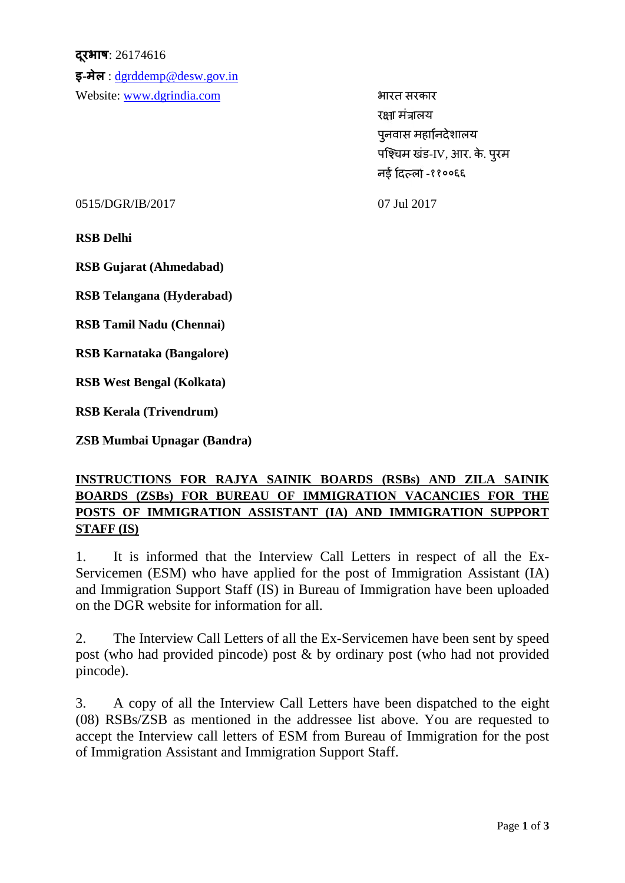## **दूरभाष**: 26174616

**इ-मेल** : dgrddemp@desw.gov.in Website: www.dgrindia.com भारत सरकार

रक्षा मंत्रालय पनवास महानिदेशालय पश्चिम खंड-IV, आर. के. पुरम नई दिल्लो -११००६६

0515/DGR/IB/2017 07 Jul 2017

**RSB Delhi**

**RSB Gujarat (Ahmedabad)**

**RSB Telangana (Hyderabad)**

**RSB Tamil Nadu (Chennai)**

**RSB Karnataka (Bangalore)**

**RSB West Bengal (Kolkata)**

**RSB Kerala (Trivendrum)**

**ZSB Mumbai Upnagar (Bandra)**

## **INSTRUCTIONS FOR RAJYA SAINIK BOARDS (RSBs) AND ZILA SAINIK BOARDS (ZSBs) FOR BUREAU OF IMMIGRATION VACANCIES FOR THE POSTS OF IMMIGRATION ASSISTANT (IA) AND IMMIGRATION SUPPORT STAFF (IS)**

1. It is informed that the Interview Call Letters in respect of all the Ex- Servicemen (ESM) who have applied for the post of Immigration Assistant (IA) and Immigration Support Staff (IS) in Bureau of Immigration have been uploaded on the DGR website for information for all.

2. The Interview Call Letters of all the Ex-Servicemen have been sent by speed post (who had provided pincode) post & by ordinary post (who had not provided pincode).

3. A copy of all the Interview Call Letters have been dispatched to the eight (08) RSBs/ZSB as mentioned in the addressee list above. You are requested to accept the Interview call letters of ESM from Bureau of Immigration for the post of Immigration Assistant and Immigration Support Staff.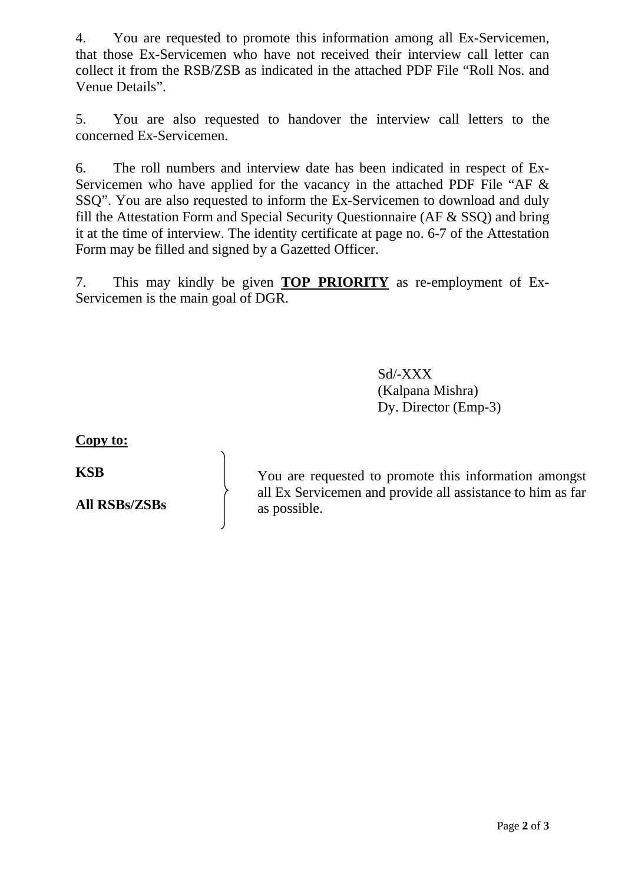4. You are requested to promote this information among all Ex-Servicemen, that those Ex-Servicemen who have not received their interview call letter can collect it from the RSB/ZSB as indicated in the attached PDF File "Roll Nos. and Venue Details".

5. You are also requested to handover the interview call letters to the concerned Ex-Servicemen.

6. The roll numbers and interview date has been indicated in respect of Ex- Servicemen who have applied for the vacancy in the attached PDF File "AF & SSQ". You are also requested to inform the Ex-Servicemen to download and duly fill the Attestation Form and Special Security Questionnaire (AF & SSQ) and bring it at the time of interview. The identity certificate at page no. 6-7 of the Attestation Form may be filled and signed by a Gazetted Officer.

7. This may kindly be given **TOP PRIORITY** as re-employment of Ex- Servicemen is the main goal of DGR.

> Sd/-XXX (Kalpana Mishra) Dy. Director (Emp-3)

**Copy to:**

**KSB**

**All RSBs/ZSBs**

You are requested to promote this information amongst all Ex Servicemen and provide all assistance to him as far as possible.